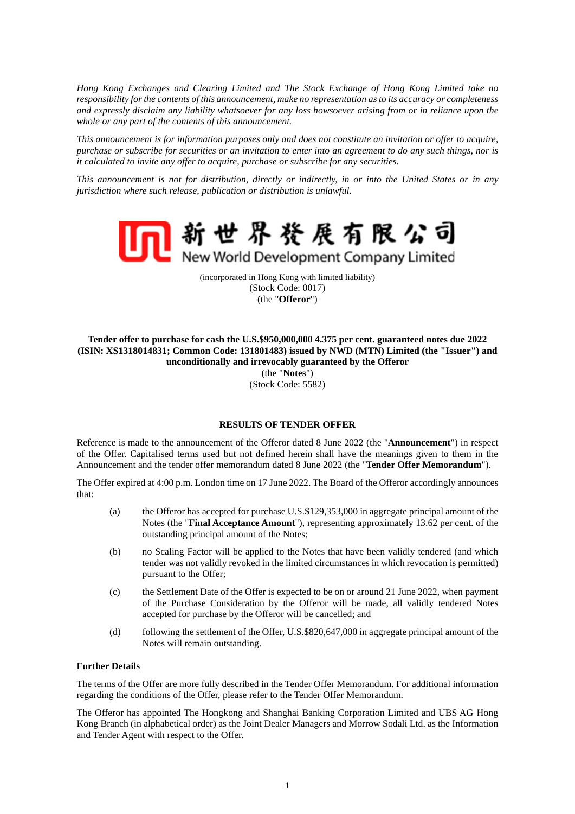*Hong Kong Exchanges and Clearing Limited and The Stock Exchange of Hong Kong Limited take no responsibility for the contents of this announcement, make no representation as to its accuracy or completeness and expressly disclaim any liability whatsoever for any loss howsoever arising from or in reliance upon the whole or any part of the contents of this announcement.*

*This announcement is for information purposes only and does not constitute an invitation or offer to acquire, purchase or subscribe for securities or an invitation to enter into an agreement to do any such things, nor is it calculated to invite any offer to acquire, purchase or subscribe for any securities.*

*This announcement is not for distribution, directly or indirectly, in or into the United States or in any jurisdiction where such release, publication or distribution is unlawful.*



(incorporated in Hong Kong with limited liability) (Stock Code: 0017) (the "**Offeror**")

# **Tender offer to purchase for cash the U.S.\$950,000,000 4.375 per cent. guaranteed notes due 2022 (ISIN: XS1318014831; Common Code: 131801483) issued by NWD (MTN) Limited (the "Issuer") and unconditionally and irrevocably guaranteed by the Offeror**  (the "**Notes**")

(Stock Code: 5582)

## **RESULTS OF TENDER OFFER**

Reference is made to the announcement of the Offeror dated 8 June 2022 (the "**Announcement**") in respect of the Offer. Capitalised terms used but not defined herein shall have the meanings given to them in the Announcement and the tender offer memorandum dated 8 June 2022 (the "**Tender Offer Memorandum**").

The Offer expired at 4:00 p.m. London time on 17 June 2022. The Board of the Offeror accordingly announces that:

- (a) the Offeror has accepted for purchase U.S.\$129,353,000 in aggregate principal amount of the Notes (the "**Final Acceptance Amount**"), representing approximately 13.62 per cent. of the outstanding principal amount of the Notes;
- (b) no Scaling Factor will be applied to the Notes that have been validly tendered (and which tender was not validly revoked in the limited circumstances in which revocation is permitted) pursuant to the Offer;
- (c) the Settlement Date of the Offer is expected to be on or around 21 June 2022, when payment of the Purchase Consideration by the Offeror will be made, all validly tendered Notes accepted for purchase by the Offeror will be cancelled; and
- (d) following the settlement of the Offer, U.S.\$820,647,000 in aggregate principal amount of the Notes will remain outstanding.

## **Further Details**

The terms of the Offer are more fully described in the Tender Offer Memorandum. For additional information regarding the conditions of the Offer, please refer to the Tender Offer Memorandum.

The Offeror has appointed The Hongkong and Shanghai Banking Corporation Limited and UBS AG Hong Kong Branch (in alphabetical order) as the Joint Dealer Managers and Morrow Sodali Ltd. as the Information and Tender Agent with respect to the Offer.